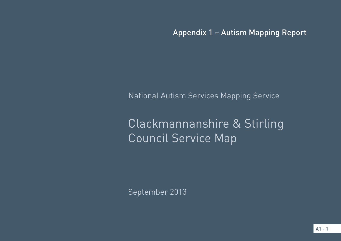Appendix 1 – Autism Mapping Report

National Autism Services Mapping Service

# Clackmannanshire & Stirling Council Service Map

September 2013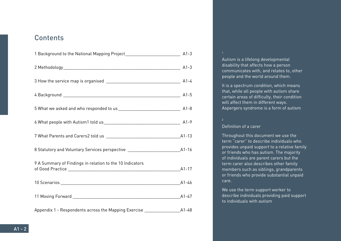# **Contents**

| 8 Statutory and Voluntary Services perspective __________________________________A1-16 |           |
|----------------------------------------------------------------------------------------|-----------|
| 9 A Summary of Findings in relation to the 10 Indicators                               |           |
|                                                                                        |           |
|                                                                                        |           |
| Appendix 1 - Respondents across the Mapping Exercise                                   | $A1 - 48$ |

#### 1

Autism is a lifelong developmental disability that affects how a person communicates with, and relates to, other people and the world around them.

It is a spectrum condition, which means that, while all people with autism share certain areas of difficulty, their condition will affect them in different ways. Aspergers syndrome is a form of autism

# Definition of a carer

Throughout this document we use the term "carer" to describe individuals who provides unpaid support to a relative family or friends who has autism. The majority of individuals are parent carers but the term carer also describes other family members such as siblings, grandparents or friends who provide substantial unpaid care.

We use the term support worker to describe individuals providing paid support to individuals with autism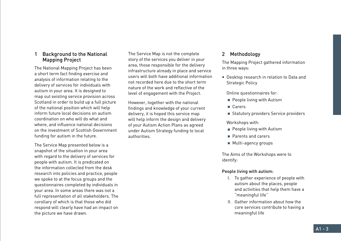# 1 Background to the National Mapping Project

The National Mapping Project has been a short term fact finding exercise and analysis of information relating to the delivery of services for individuals with autism in your area. It is designed to map out existing service provision across Scotland in order to build up a full picture of the national position which will help inform future local decisions on autism coordination on who will do what and where, and influence national decisions on the investment of Scottish Government funding for autism in the future.

The Service Map presented below is a snapshot of the situation in your area with regard to the delivery of services for people with autism. It is predicated on the information collected from the desk research into policies and practice, people we spoke to at the focus groups and the questionnaires completed by individuals in your area. In some areas there was not a full representation of all stakeholders. The corollary of which is that those who did respond will clearly have had an impact on the picture we have drawn.

The Service Map is not the complete story of the services you deliver in your area, those responsible for the delivery infrastructure already in place and service users will both have additional information not recorded here due to the short term nature of the work and reflective of the level of engagement with the Project.

However, together with the national findings and knowledge of your current delivery, it is hoped this service map will help inform the design and delivery of your Autism Action Plans as agreed under Autism Strategy funding to local authorities.

# 2 Methodology

The Mapping Project gathered information in three ways:

• Desktop research in relation to Data and Strategic Policy

Online questionnaires for:

- $\blacksquare$  People living with Autism
- Carers
- Statutory providers Service providers

Workshops with:

- **People living with Autism**
- **Parents and carers**
- **Multi-agency groups**

The Aims of the Workshops were to identify:

# People living with autism:

- I. To gather experience of people with autism about the places, people and activities that help them have a "meaningful life"
- II. Gather information about how the core services contribute to having a meaningful life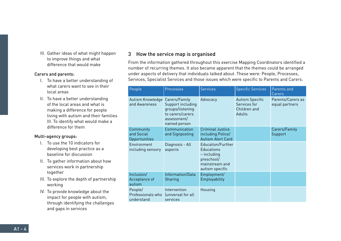III. Gather ideas of what might happen to improve things and what difference that would make

#### Carers and parents:

- I. To have a better understanding of what carers want to see in their local areas
- II. To have a better understanding of the local areas and what is making a difference for people living with autism and their families III. To identify what would make a difference for them

## Multi-agency groups:

- I. To use the 10 indicators for developing best practice as a baseline for discussion
- II. To gather information about how services work in partnership together
- III. To explore the depth of partnership working
- IV. To provide knowledge about the impact for people with autism, through identifying the challenges and gaps in services

# 3 How the service map is organised

From the information gathered throughout this exercise Mapping Coordinators identified a number of recurring themes. It also became apparent that the themes could be arranged under aspects of delivery that individuals talked about. These were: People, Processes, Services, Specialist Services and those issues which were specific to Parents and Carers.

| People                                     | Processes                                                                                                 | <b>Services</b>                                                                                            | <b>Specific Services</b>                                         | Parents and<br>Carers               |
|--------------------------------------------|-----------------------------------------------------------------------------------------------------------|------------------------------------------------------------------------------------------------------------|------------------------------------------------------------------|-------------------------------------|
| Autism Knowledge<br>and Awareness          | Carers/Family<br>Support including<br>groups/listening<br>to carers/carers<br>assessment/<br>named person | Advocacy                                                                                                   | <b>Autism Specific</b><br>Services for<br>Children and<br>Adults | Parents/Carers as<br>equal partners |
| Community<br>and Social<br>Opportunities   | Communication<br>and Signposting                                                                          | <b>Criminal Justice</b><br>including Police/<br><b>Autism Alert Card</b>                                   |                                                                  | Carers/Family<br>Support            |
| Environment<br>including sensory           | Diagnosis - All<br>aspects                                                                                | Education/Further<br><b>Educations</b><br>$-$ including<br>preschool/<br>mainstream and<br>autism specific |                                                                  |                                     |
| Inclusion/<br>Acceptance of<br>autism      | Information/Data<br>Sharing                                                                               | Employment/<br>Employability                                                                               |                                                                  |                                     |
| People/<br>Professionals who<br>understand | Intervention<br>funiversal for all<br>services                                                            | Housing                                                                                                    |                                                                  |                                     |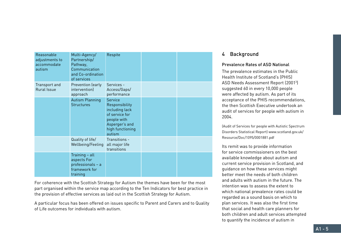| Reasonable<br>adjustments to<br>accommodate<br>autism | Multi-Agency/<br>Partnership/<br>Pathway,<br>Communication<br>and Co-ordination<br>of services | Respite                                                                                                                             |  |
|-------------------------------------------------------|------------------------------------------------------------------------------------------------|-------------------------------------------------------------------------------------------------------------------------------------|--|
| Transport and<br><b>Rural Issue</b>                   | Prevention (early<br>intervention)<br>approach                                                 | Services -<br>Access/Gaps/<br>performance                                                                                           |  |
|                                                       | <b>Autism Planning</b><br><b>Structures</b>                                                    | <b>Service</b><br>Responsibility<br>including lack<br>of service for<br>people with<br>Asperger's and<br>high functioning<br>autism |  |
|                                                       | Quality of life/<br>Wellbeing/Feeling                                                          | Transitions -<br>all major life<br>transitions                                                                                      |  |
|                                                       | Training - all<br>aspects For<br>professionals - a<br>framework for<br>training                |                                                                                                                                     |  |

For coherence with the Scottish Strategy for Autism the themes have been for the most part organised within the service map according to the Ten Indicators for best practice in the provision of effective services as laid out in the Scottish Strategy for Autism.

A particular focus has been offered on issues specific to Parent and Carers and to Quality of Life outcomes for individuals with autism.

# 4 Background

# Prevalence Rates of ASD National

The prevalence estimates in the Public Health Institute of Scotland's (PHIS) ASD Needs Assessment Report (20013 ) suggested 60 in every 10,000 people were affected by autism. As part of its acceptance of the PHIS recommendations, the then Scottish Executive undertook an audit of services for people with autism in 2004.

(Audit of Services for people with Autistic Spectrum Disorders Statistical Report) www.scotland.gov.uk/ Resource/Doc/1095/0001881.pdf

Its remit was to provide information for service commissioners on the best available knowledge about autism and current service provision in Scotland, and guidance on how these services might better meet the needs of both children and adults with autism in the future. The intention was to assess the extent to which national prevalence rates could be regarded as a sound basis on which to plan services. It was also the first time that social and health care planners for both children and adult services attempted to quantify the incidence of autism in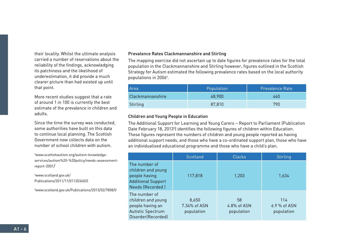their locality. Whilst the ultimate analysis carried a number of reservations about the reliability of the findings, acknowledging its patchiness and the likelihood of underestimation, it did provide a much clearer picture than had existed up until that point.

More recent studies suggest that a rate of around 1 in 100 is currently the best estimate of the prevalence in children and adults.

Since the time the survey was conducted, some authorities have built on this data to continue local planning. The Scottish Government now collects data on the number of school children with autism.

3 www.scottishautism.org/autism-knowledgeservices/autism%20-%20policy/needs-assessmentreport-2001/

4 www.scotland.gov.uk/ Publications/2011/11/01120340/0

5 www.scotland.gov.uk/Publications/2013/02/7808/0

#### Prevalence Rates Clackmannanshire and Stirling

The mapping exercise did not ascertain up to date figures for prevalence rates for the total population in the Clackmannanshire and Stirling however, figures outlined in the Scottish Strategy for Autism estimated the following prevalence rates based on the local authority populations in 20064 .

| Area             | Population | <b>Prevalence Rate</b> |
|------------------|------------|------------------------|
| Clackmannanshire | 48,900     | 440                    |
| Stirling         | 87,810     | 790                    |

#### Children and Young People in Education

The Additional Support for Learning and Young Carers – Report to Parliament (Publication Date February 18, 2013<sup>5</sup>) identifies the following figures of children within Education. These figures represent the numbers of children and young people reported as having additional support needs, and those who have a co-ordinated support plan, those who have an individualised educational programme and those who have a child's plan.

|                                                                                                           | Scotland                            | <b>Clacks</b>                   | <b>Stirling</b>                   |
|-----------------------------------------------------------------------------------------------------------|-------------------------------------|---------------------------------|-----------------------------------|
| The number of<br>children and young<br>people having<br><b>Additional Support</b><br>Needs (Recorded)     | 117,818                             | 1,203                           | 1,634                             |
| The number of<br>children and young<br>people having an<br><b>Autistic Spectrum</b><br>Disorder(Recorded) | 8,650<br>7.34% of ASN<br>population | 58<br>4.8% of ASN<br>population | 114<br>6.9 % of ASN<br>population |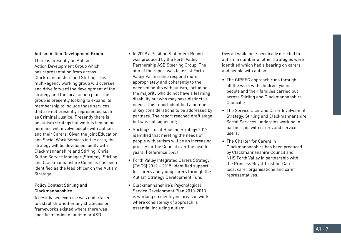#### Autism Action Development Group

There is presently an Autism Action Development Group which has representation from across Clackmannanshire and Stirling. This multi-agency working group will oversee and drive forward the development of the strategy and the local action plan. The group is presently looking to expand its membership to include those services that are not presently represented such as Criminal Justice. Presently there is no autism strategy but work is beginning here and will involve people with autism and their Carers. Given the joint Education and Social Work Services in the area, the strategy will be developed jointly with Clackmannanshire and Stirling. Chris Sutton Service Manager (Strategy) Stirling and Clackmannanshire Councils has been identified as the lead officer on the Autism Strategy.

#### Policy Context Stirling and Clackmannanshire

A desk based exercise was undertaken to establish whether any strategies or frameworks existed where there was specific mention of autism or ASD:

- In 2009 a Position Statement Report was produced by the Forth Valley Partnership ASD Steering Group. The aim of the report was to assist Forth Valley Partnership respond more appropriately and coherently to the needs of adults with autism, including the majority who do not have a learning disability but who may have distinctive needs. This report identified a number of key considerations to be addressed by partners. The report reached draft stage but was not signed off;
- Stirling's Local Housing Strategy 2012 identified that meeting the needs of people with autism will be an increasing priority for the Council over the next 5 years; (Reference 5.43)
- Forth Valley Integrated Carers Strategy, (FVICS) 2012 – 2015, identified support for carers and young carers through the Autism Strategy Development Fund;
- Clackmannanshire's Psychological Service Development Plan 2010-2013 is working on identifying areas of work where consistency of approach is essential including autism.

Overall while not specifically directed to autism a number of other strategies were identified which had a bearing on carers and people with autism.

- The GIRFEC approach runs through all the work with children, young people and their families carried out across Stirling and Clackmannanshire Councils;
- The Service User and Carer Involvement Strategy, Stirling and Clackmannanshire Social Services, underpins working in partnership with carers and service users;
- The Charter for Carers in Clackmannanshire has been produced by Clackmannanshire Council and NHS Forth Valley in partnership with the Princess Royal Trust for Carers, local carer organisations and carer representatives.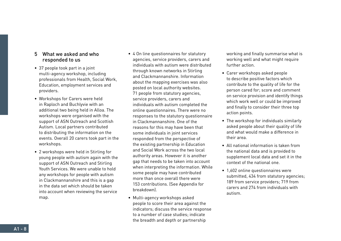# 5 What we asked and who responded to us

- 37 people took part in a joint multi-agency workshop, including professionals from Health, Social Work, Education, employment services and providers.
- Workshops for Carers were held in Raploch and Buchlyvie with an additional two being held in Alloa. The workshops were organised with the support of ASN Outreach and Scottish Autism. Local partners contributed to distributing the information on the events. Overall 20 carers took part in the workshops.
- 2 workshops were held in Stirling for young people with autism again with the support of ASN Outreach and Stirling Youth Services. We were unable to hold any workshops for people with autism in Clackmannanshire and this is a gap in the data set which should be taken into account when reviewing the service map.
- 4 On line questionnaires for statutory agencies, service providers, carers and individuals with autism were distributed through known networks in Stirling and Clackmannanshire. Information about the mapping exercises was also posted on local authority websites. 71 people from statutory agencies, service providers, carers and individuals with autism completed the online questionnaires. There were no responses to the statutory questionnaire in Clackmannanshire. One of the reasons for this may have been that some individuals in joint services responded from the perspective of the existing partnership in Education and Social Work across the two local authority areas. However it is another gap that needs to be taken into account when interpreting the information. While some people may have contributed more than once overall there were 153 contributions. (See Appendix for breakdown).
- Multi-agency workshops asked people to score their area against the indicators; discuss the service response to a number of case studies; indicate the breadth and depth or partnership

working and finally summarise what is working well and what might require further action.

- Carer workshops asked people to describe positive factors which contribute to the quality of life for the person cared for; score and comment on service provision and identify things which work well or could be improved and finally to consider their three top action points.
- The workshop for individuals similarly asked people about their quality of life and what would make a difference in their area.
- All national information is taken from the national data and is provided to supplement local data and set it in the context of the national one.
- 1,602 online questionnaires were submitted, 434 from statutory agencies; 189 from service providers; 719 from carers and 274 from individuals with autism.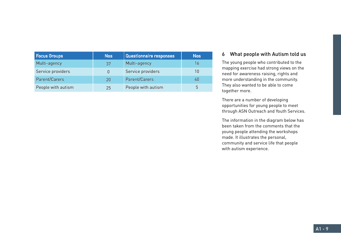| <b>Focus Groups</b> | <b>Nos</b> | Questionnaire responses | <b>Nos</b> |
|---------------------|------------|-------------------------|------------|
| Multi-agency        | 37         | Multi-agency            | 16         |
| Service providers   | 0          | Service providers       | 10         |
| Parent/Carers       | 20         | Parent/Carers           | 40         |
| People with autism  | 25         | People with autism      | 5          |

# 6 What people with Autism told us

The young people who contributed to the mapping exercise had strong views on the need for awareness raising, rights and more understanding in the community. They also wanted to be able to come together more.

There are a number of developing opportunities for young people to meet through ASN Outreach and Youth Services.

The information in the diagram below has been taken from the comments that the young people attending the workshops made. It illustrates the personal, community and service life that people with autism experience.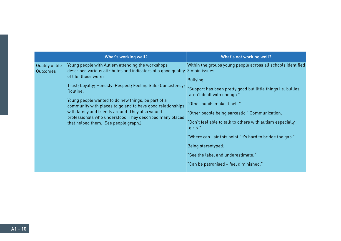|                                    | What's working well?                                                                                                                                                                                                                                                                                                                                                                                                                                                                                              | What's not working well?                                                                                                                                                                                                                                                                                                                                                                                                                                                                              |
|------------------------------------|-------------------------------------------------------------------------------------------------------------------------------------------------------------------------------------------------------------------------------------------------------------------------------------------------------------------------------------------------------------------------------------------------------------------------------------------------------------------------------------------------------------------|-------------------------------------------------------------------------------------------------------------------------------------------------------------------------------------------------------------------------------------------------------------------------------------------------------------------------------------------------------------------------------------------------------------------------------------------------------------------------------------------------------|
| Quality of life<br><b>Outcomes</b> | Young people with Autism attending the workshops<br>described various attributes and indicators of a good quality 3 main issues.<br>of life: these were:<br>Trust; Loyalty; Honesty; Respect; Feeling Safe; Consistency;<br>Routine.<br>Young people wanted to do new things, be part of a<br>community with places to go and to have good relationships<br>with family and friends around. They also valued<br>professionals who understood. They described many places<br>that helped them. (See people graph.) | Within the groups young people across all schools identified<br>Bullying:<br>"Support has been pretty good but little things i.e. bullies<br>aren't dealt with enough."<br>'Other pupils make it hell."<br>"Other people being sarcastic." Communication:<br>'Don't feel able to talk to others with autism especially<br>girls."<br>"Where can I air this point "it's hard to bridge the gap "<br>Being stereotyped:<br>"See the label and underestimate."<br>"Can be patronised – feel diminished." |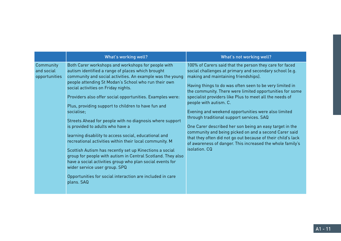|                                          | What's working well?                                                                                                                                                                                                                                                                                                                                                                                                                                                                                                                                                                                                                                                                                                                                                                                                                                                                                                         | What's not working well?                                                                                                                                                                                                                                                                                                                                                                                                                                                                                                                                                                                                                                                                                                                      |
|------------------------------------------|------------------------------------------------------------------------------------------------------------------------------------------------------------------------------------------------------------------------------------------------------------------------------------------------------------------------------------------------------------------------------------------------------------------------------------------------------------------------------------------------------------------------------------------------------------------------------------------------------------------------------------------------------------------------------------------------------------------------------------------------------------------------------------------------------------------------------------------------------------------------------------------------------------------------------|-----------------------------------------------------------------------------------------------------------------------------------------------------------------------------------------------------------------------------------------------------------------------------------------------------------------------------------------------------------------------------------------------------------------------------------------------------------------------------------------------------------------------------------------------------------------------------------------------------------------------------------------------------------------------------------------------------------------------------------------------|
| Community<br>and social<br>opportunities | Both Carer workshops and workshops for people with<br>autism identified a range of places which brought<br>community and social activities. An example was the young<br>people attending St Modan's School who run their own<br>social activities on Friday nights.<br>Providers also offer social opportunities. Examples were:<br>Plus, providing support to children to have fun and<br>socialise;<br>Streets Ahead for people with no diagnosis where support<br>is provided to adults who have a<br>learning disability to access social, educational and<br>recreational activities within their local community. M<br>Scottish Autism has recently set up Kinections a social<br>group for people with autism in Central Scotland. They also<br>have a social activities group who plan social events for<br>wider service user group. SPQ<br>Opportunities for social interaction are included in care<br>plans. SAQ | 100% of Carers said that the person they care for faced<br>social challenges at primary and secondary school (e.g.<br>making and maintaining friendships).<br>Having things to do was often seen to be very limited in<br>the community. There were limited opportunities for some<br>specialist providers like Plus to meet all the needs of<br>people with autism. C.<br>Evening and weekend opportunities were also limited<br>through traditional support services. SAQ<br>One Carer described her son being an easy target in the<br>community and being picked on and a second Carer said<br>that they often did not go out because of their child's lack<br>of awareness of danger. This increased the whole family's<br>isolation, CQ |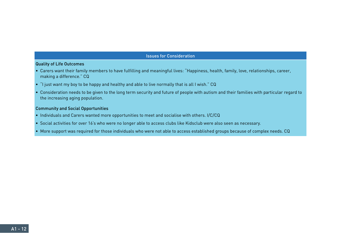#### Quality of Life Outcomes

- Carers want their family members to have fulfilling and meaningful lives: "Happiness, health, family, love, relationships, career, making a difference." CQ
- "I just want my boy to be happy and healthy and able to live normally that is all I wish." CQ
- Consideration needs to be given to the long term security and future of people with autism and their families with particular regard to the increasing aging population.

# Community and Social Opportunities

- Individuals and Carers wanted more opportunities to meet and socialise with others. I/C/CQ
- Social activities for over 16's who were no longer able to access clubs like Kidsclub were also seen as necessary.
- More support was required for those individuals who were not able to access established groups because of complex needs. CQ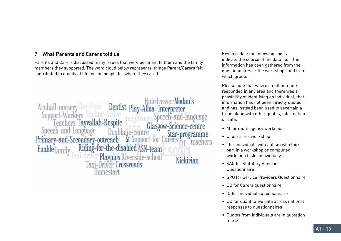# 7 What Parents and Carers told us

Parents and Carers discussed many issues that were pertinent to them and the family members they supported. The word cloud below represents, things Parent/Carers felt contributed to quality of life for the people for whom they cared.

Arnhall-nu **Dentist** Play-Alloa Interpreter Sumport Speech Layvallah-Respite Glasoow-Science Speed Star-nro Primary-and Secondary-outrea Enablefam -team Playplus  $|axi-|$  $|r|$ *<u>Possmads</u>* Homestar

Key to codes: the following codes indicate the source of the data  $i.e.$  if the information has been gathered from the questionnaires or the workshops and from which group.

Please note that where small numbers responded in any area and there was a possibility of identifying an individual, that information has not been directly quoted and has instead been used to ascertain a trend along with other quotes, information or data.

- M for multi agency workshop
- C for carers workshop
- I for individuals with autism who took part in a workshop or completed workshop tasks individually
- SAQ for Statutory Agencies Questionnaire
- SPQ for Service Providers Questionnaire
- CQ for Carers questionnaire
- IQ for Individuals questionnaire
- QQ for quantitative data across national responses to questionnaires
- Quotes from individuals are in quotation marks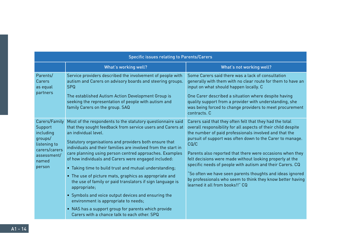| <b>Specific issues relating to Parents/Carers</b>                                                                   |                                                                                                                                                                                                                                                                                                                                                                                                                                                                                                                                                                                                                                                                                                                                                                                                        |                                                                                                                                                                                                                                                                                                                                                                                                                                                                                                                                                                                                              |  |
|---------------------------------------------------------------------------------------------------------------------|--------------------------------------------------------------------------------------------------------------------------------------------------------------------------------------------------------------------------------------------------------------------------------------------------------------------------------------------------------------------------------------------------------------------------------------------------------------------------------------------------------------------------------------------------------------------------------------------------------------------------------------------------------------------------------------------------------------------------------------------------------------------------------------------------------|--------------------------------------------------------------------------------------------------------------------------------------------------------------------------------------------------------------------------------------------------------------------------------------------------------------------------------------------------------------------------------------------------------------------------------------------------------------------------------------------------------------------------------------------------------------------------------------------------------------|--|
|                                                                                                                     | <b>What's working well?</b>                                                                                                                                                                                                                                                                                                                                                                                                                                                                                                                                                                                                                                                                                                                                                                            | What's not working well?                                                                                                                                                                                                                                                                                                                                                                                                                                                                                                                                                                                     |  |
| Parents/<br>Carers<br>as equal<br>partners                                                                          | Service providers described the involvement of people with<br>autism and Carers on advisory boards and steering groups.<br><b>SPQ</b><br>The established Autism Action Development Group is<br>seeking the representation of people with autism and<br>family Carers on the group. SAQ                                                                                                                                                                                                                                                                                                                                                                                                                                                                                                                 | Some Carers said there was a lack of consultation<br>generally with them with no clear route for them to have an<br>input on what should happen locally. C<br>One Carer described a situation where despite having<br>quality support from a provider with understanding, she<br>was being forced to change providers to meet procurement<br>contracts. C                                                                                                                                                                                                                                                    |  |
| Carers/Family<br>Support<br>including<br>groups/<br>listening to<br>carers/carers<br>assessment/<br>named<br>person | Most of the respondents to the statutory questionnaire said<br>that they sought feedback from service users and Carers at<br>an individual level.<br>Statutory organisations and providers both ensure that<br>individuals and their families are involved from the start in<br>care planning using person centred approaches. Examples<br>of how individuals and Carers were engaged included:<br>• Taking time to build trust and mutual understanding;<br>• The use of picture mats, graphics as appropriate and<br>the use of family or paid translators if sign language is<br>appropriate;<br>• Symbols and voice output devices and ensuring the<br>environment is appropriate to needs;<br>• NAS has a support group for parents which provide<br>Carers with a chance talk to each other. SPQ | Carers said that they often felt that they had the total<br>overall responsibility for all aspects of their child despite<br>the number of paid professionals involved and that the<br>pursuit of support was often down to the Carer to manage.<br>CQ/C<br>Parents also reported that there were occasions when they<br>felt decisions were made without looking properly at the<br>specific needs of people with autism and their Carers. CQ<br>"So often we have seen parents thoughts and ideas ignored<br>by professionals who seem to think they know better having<br>learned it all from books!!" CQ |  |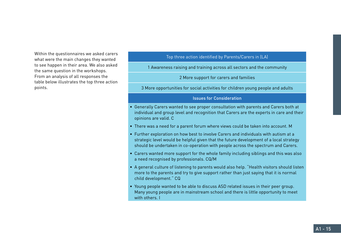Within the questionnaires we asked carers what were the main changes they wanted to see happen in their area. We also asked the same question in the workshops. From an analysis of all responses the table below illustrates the top three action points.

# Top three action identified by Parents/Carers in (LA)

1 Awareness raising and training across all sectors and the community

2 More support for carers and families

3 More opportunities for social activities for children young people and adults

#### Issues for Consideration

- Generally Carers wanted to see proper consultation with parents and Carers both at individual and group level and recognition that Carers are the experts in care and their opinions are valid. C
- There was a need for a parent forum where views could be taken into account. M
- Further exploration on how best to involve Carers and individuals with autism at a strategic level would be helpful given that the future development of a local strategy should be undertaken in co-operation with people across the spectrum and Carers.
- Carers wanted more support for the whole family including siblings and this was also a need recognised by professionals. CQ/M
- A general culture of listening to parents would also help. "Health visitors should listen more to the parents and try to give support rather than just saying that it is normal child development." CQ
- Young people wanted to be able to discuss ASD related issues in their peer group. Many young people are in mainstream school and there is little opportunity to meet with others. I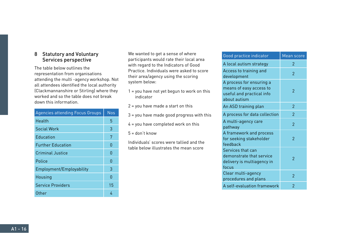# 8 Statutory and Voluntary Services perspective

The table below outlines the representation from organisations attending the multi -agency workshop. Not all attendees identified the local authority (Clackmannanshire or Stirling) where they worked and so the table does not break down this information.

| <b>Agencies attending Focus Groups</b> | <b>Nos</b> |
|----------------------------------------|------------|
| Health                                 | 5          |
| <b>Social Work</b>                     | 3          |
| <b>Education</b>                       | 7          |
| <b>Further Education</b>               | O          |
| Criminal Justice                       | n          |
| Police                                 | O          |
| Employment/Employability               | З          |
| Housing                                | n          |
| <b>Service Providers</b>               | 15         |
| Other                                  | 4          |

We wanted to get a sense of where participants would rate their local area with regard to the Indicators of Good Practice. Individuals were asked to score their area/agency using the scoring system below:

- 1 = you have not yet begun to work on this indicator
- 2 = you have made a start on this
- 3 = you have made good progress with this
- $4 =$  you have completed work on this
- $5 =$  don't know

Individuals' scores were tallied and the table below illustrates the mean score

| Good practice indicator                                                                          | Mean score               |
|--------------------------------------------------------------------------------------------------|--------------------------|
| A local autism strategy                                                                          | 2                        |
| Access to training and<br>development                                                            | 2                        |
| A process for ensuring a<br>means of easy access to<br>useful and practical info<br>about autism | 2                        |
| An ASD training plan                                                                             | $\overline{2}$           |
| A process for data collection                                                                    | $\overline{2}$           |
| A multi-agency care<br>pathway                                                                   | $\overline{2}$           |
| A framework and process<br>for seeking stakeholder<br>feedback                                   | $\mathcal{P}$            |
| Services that can<br>demonstrate that service<br>delivery is multiagency in<br>focus             | 2                        |
| Clear multi-agency<br>procedures and plans                                                       | $\overline{\phantom{a}}$ |
| A self-evaluation framework                                                                      | 2                        |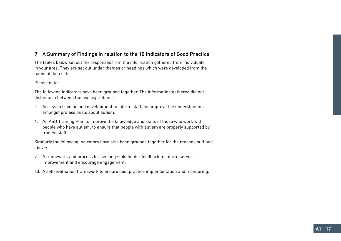# 9 A Summary of Findings in relation to the 10 Indicators of Good Practice

The tables below set out the responses from the information gathered from individuals in your area. They are set out under themes or headings which were developed from the national data sets.

#### Please note:

The following Indicators have been grouped together. The information gathered did not distinguish between the two aspirations:

- 2. Access to training and development to inform staff and improve the understanding amongst professionals about autism.
- 4. An ASD Training Plan to improve the knowledge and skills of those who work with people who have autism, to ensure that people with autism are properly supported by trained staff.

Similarly the following Indicators have also been grouped together for the reasons outlined above:

- 7. A framework and process for seeking stakeholder feedback to inform service improvement and encourage engagement.
- 10. A self-evaluation framework to ensure best practice implementation and monitoring.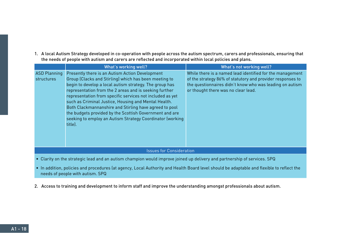1. A local Autism Strategy developed in co-operation with people across the autism spectrum, carers and professionals, ensuring that the needs of people with autism and carers are reflected and incorporated within local policies and plans.

|                                                                                                                          | What's working well?                                                                                                                                                                                                                                                                                                                                                                                                                                                                                                                            | What's not working well?                                                                                                                                                                                                   |  |
|--------------------------------------------------------------------------------------------------------------------------|-------------------------------------------------------------------------------------------------------------------------------------------------------------------------------------------------------------------------------------------------------------------------------------------------------------------------------------------------------------------------------------------------------------------------------------------------------------------------------------------------------------------------------------------------|----------------------------------------------------------------------------------------------------------------------------------------------------------------------------------------------------------------------------|--|
| <b>ASD Planning</b><br>structures                                                                                        | Presently there is an Autism Action Development<br>Group (Clacks and Stirling) which has been meeting to<br>begin to develop a local autism strategy. The group has<br>representation from the 2 areas and is seeking further<br>representation from specific services not included as yet<br>such as Criminal Justice, Housing and Mental Health.<br>Both Clackmannanshire and Stirling have agreed to pool<br>the budgets provided by the Scottish Government and are<br>seeking to employ an Autism Strategy Coordinator (working<br>title). | While there is a named lead identified for the management<br>of the strategy 86% of statutory and provider responses to<br>the questionnaires didn't know who was leading on autism<br>or thought there was no clear lead. |  |
|                                                                                                                          | <b>Issues for Consideration</b>                                                                                                                                                                                                                                                                                                                                                                                                                                                                                                                 |                                                                                                                                                                                                                            |  |
|                                                                                                                          |                                                                                                                                                                                                                                                                                                                                                                                                                                                                                                                                                 |                                                                                                                                                                                                                            |  |
| • Clarity on the strategic lead and an autism shampion would improve isined up delivery and partnership of services. CDO |                                                                                                                                                                                                                                                                                                                                                                                                                                                                                                                                                 |                                                                                                                                                                                                                            |  |

- Clarity on the strategic lead and an autism champion would improve joined up delivery and partnership of services. SPQ
- In addition, policies and procedures (at agency, Local Authority and Health Board level should be adaptable and flexible to reflect the needs of people with autism. SPQ
- 2. Access to training and development to inform staff and improve the understanding amongst professionals about autism.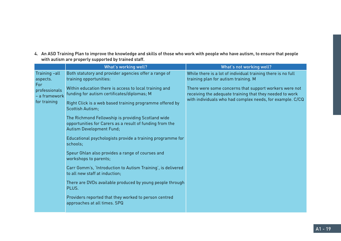4. An ASD Training Plan to improve the knowledge and skills of those who work with people who have autism, to ensure that people with autism are properly supported by trained staff.

|                                                       | What's working well?                                                                                                                                                                                                                                                                                                                                                                                          | What's not working well?                                                                                                                                                        |
|-------------------------------------------------------|---------------------------------------------------------------------------------------------------------------------------------------------------------------------------------------------------------------------------------------------------------------------------------------------------------------------------------------------------------------------------------------------------------------|---------------------------------------------------------------------------------------------------------------------------------------------------------------------------------|
| Training -all<br>aspects.                             | Both statutory and provider agencies offer a range of<br>training opportunities:                                                                                                                                                                                                                                                                                                                              | While there is a lot of individual training there is no full<br>training plan for autism training. M                                                                            |
| For<br>professionals<br>- a framework<br>for training | Within education there is access to local training and<br>funding for autism certificates/diplomas; M<br>Right Click is a web based training programme offered by<br>Scottish Autism;<br>The Richmond Fellowship is providing Scotland wide<br>opportunities for Carers as a result of funding from the<br>Autism Development Fund;<br>Educational psychologists provide a training programme for<br>schools; | There were some concerns that support workers were not<br>receiving the adequate training that they needed to work<br>with individuals who had complex needs, for example. C/CQ |
|                                                       | Speur Ghlan also provides a range of courses and<br>workshops to parents;                                                                                                                                                                                                                                                                                                                                     |                                                                                                                                                                                 |
|                                                       | Carr Gomm's, 'Introduction to Autism Training', is delivered<br>to all new staff at induction;                                                                                                                                                                                                                                                                                                                |                                                                                                                                                                                 |
|                                                       | There are DVDs available produced by young people through<br>PLUS.                                                                                                                                                                                                                                                                                                                                            |                                                                                                                                                                                 |
|                                                       | Providers reported that they worked to person centred<br>approaches at all times. SPQ                                                                                                                                                                                                                                                                                                                         |                                                                                                                                                                                 |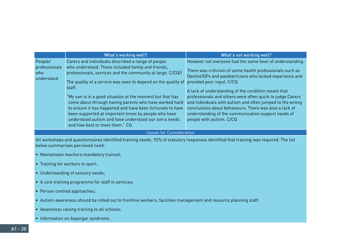|                                               | What's working well?                                                                                                                                                                                                                                                                                                                                                                                                                                                                                                                                                                     | What's not working well?                                                                                                                                                                                                                                                                                                                                                                                                                                                                                                                     |
|-----------------------------------------------|------------------------------------------------------------------------------------------------------------------------------------------------------------------------------------------------------------------------------------------------------------------------------------------------------------------------------------------------------------------------------------------------------------------------------------------------------------------------------------------------------------------------------------------------------------------------------------------|----------------------------------------------------------------------------------------------------------------------------------------------------------------------------------------------------------------------------------------------------------------------------------------------------------------------------------------------------------------------------------------------------------------------------------------------------------------------------------------------------------------------------------------------|
| People/<br>professionals<br>who<br>understand | Carers and individuals described a range of people<br>who understood. These included family and friends,<br>professionals, services and the community at large. C/CQ/I<br>The quality of a service was seen to depend on the quality of<br>staff.<br>"My son is in a good situation at the moment but that has<br>come about through having parents who have worked hard<br>to ensure it has happened and have been fortunate to have<br>been supported at important times by people who have<br>understood autism and have understood our son's needs<br>and how best to meet them." CQ | However not everyone had the same level of understanding.<br>There was criticism of some health professionals such as<br>Dentist/GPs and paediatricians who lacked experience and<br>provided poor input. C/CQ<br>A lack of understanding of the condition meant that<br>professionals and others were often quick to judge Carers<br>and individuals with autism and often jumped to the wrong<br>conclusions about behaviours. There was also a lack of<br>understanding of the communication support needs of<br>people with autism. C/CQ |

All workshops and questionnaires identified training needs. 92% of statutory responses identified that training was required. The list below summarises perceived need:

- Mainstream teachers mandatory trained;
- Training for workers in sport;
- Understanding of sensory needs;
- A core training programme for staff in services;
- Person centred approaches;
- Autism awareness should be rolled out to frontline workers, facilities management and resource planning staff;
- Awareness raising training to all schools;
- Information on Asperger syndrome;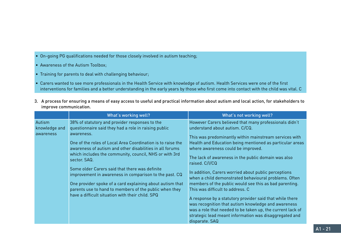- On-going PG qualifications needed for those closely involved in autism teaching;
- Awareness of the Autism Toolbox;
- Training for parents to deal with challenging behaviour;
- Carers wanted to see more professionals in the Health Service with knowledge of autism. Health Services were one of the first interventions for families and a better understanding in the early years by those who first come into contact with the child was vital. C
- 3. A process for ensuring a means of easy access to useful and practical information about autism and local action, for stakeholders to improve communication.

|                                      | What's working well?                                                                                                                                                                                                                                                                                                                                                                                                                                                                                                                                                                                             | What's not working well?                                                                                                                                                                                                                                                                                                                                                                                                                                                                                                                                                                                                                                                                                                                                                                |
|--------------------------------------|------------------------------------------------------------------------------------------------------------------------------------------------------------------------------------------------------------------------------------------------------------------------------------------------------------------------------------------------------------------------------------------------------------------------------------------------------------------------------------------------------------------------------------------------------------------------------------------------------------------|-----------------------------------------------------------------------------------------------------------------------------------------------------------------------------------------------------------------------------------------------------------------------------------------------------------------------------------------------------------------------------------------------------------------------------------------------------------------------------------------------------------------------------------------------------------------------------------------------------------------------------------------------------------------------------------------------------------------------------------------------------------------------------------------|
| Autism<br>knowledge and<br>awareness | 38% of statutory and provider responses to the<br>questionnaire said they had a role in raising public<br>awareness.<br>One of the roles of Local Area Coordination is to raise the<br>awareness of autism and other disabilities in all forums<br>which includes the community, council, NHS or with 3rd<br>sector. SAQ.<br>Some older Carers said that there was definite<br>improvement in awareness in comparison to the past. CQ<br>One provider spoke of a card explaining about autism that<br>parents use to hand to members of the public when they<br>have a difficult situation with their child. SPQ | However Carers believed that many professionals didn't<br>understand about autism. C/CQ.<br>This was predominantly within mainstream services with<br>Health and Education being mentioned as particular areas<br>where awareness could be improved.<br>The lack of awareness in the public domain was also<br>raised. C/I/CQ<br>In addition, Carers worried about public perceptions<br>when a child demonstrated behavioural problems. Often<br>members of the public would see this as bad parenting.<br>This was difficult to address. C<br>A response by a statutory provider said that while there<br>was recognition that autism knowledge and awareness<br>was a role that needed to be taken up, the current lack of<br>strategic lead meant information was disaggregated and |
|                                      |                                                                                                                                                                                                                                                                                                                                                                                                                                                                                                                                                                                                                  | disparate. SAQ                                                                                                                                                                                                                                                                                                                                                                                                                                                                                                                                                                                                                                                                                                                                                                          |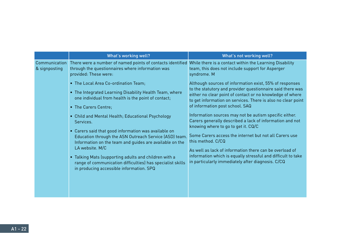|                                | What's working well?                                                                                                                                                                                                                                                                                                                                                                                                              | What's not working well?                                                                                                                                                                                                                                                                                                                                                                                                 |
|--------------------------------|-----------------------------------------------------------------------------------------------------------------------------------------------------------------------------------------------------------------------------------------------------------------------------------------------------------------------------------------------------------------------------------------------------------------------------------|--------------------------------------------------------------------------------------------------------------------------------------------------------------------------------------------------------------------------------------------------------------------------------------------------------------------------------------------------------------------------------------------------------------------------|
| Communication<br>& signposting | There were a number of named points of contacts identified While there is a contact within the Learning Disability<br>through the questionnaires where information was<br>provided: These were:                                                                                                                                                                                                                                   | team, this does not include support for Asperger<br>syndrome. M                                                                                                                                                                                                                                                                                                                                                          |
|                                | • The Local Area Co-ordination Team;<br>• The Integrated Learning Disability Health Team, where<br>one individual from health is the point of contact;<br>• The Carers Centre;                                                                                                                                                                                                                                                    | Although sources of information exist, 55% of responses<br>to the statutory and provider questionnaire said there was<br>either no clear point of contact or no knowledge of where<br>to get information on services. There is also no clear point<br>of information post school. SAQ                                                                                                                                    |
|                                | • Child and Mental Health; Educational Psychology<br>Services.<br>• Carers said that good information was available on<br>Education through the ASN Outreach Service (ASD) team.<br>Information on the team and guides are available on the<br>LA website. M/C<br>• Talking Mats (supporting adults and children with a<br>range of communication difficulties) has specialist skills<br>in producing accessible information. SPQ | Information sources may not be autism specific either.<br>Carers generally described a lack of information and not<br>knowing where to go to get it. CQ/C<br>Some Carers access the internet but not all Carers use<br>this method. C/CQ<br>As well as lack of information there can be overload of<br>information which is equally stressful and difficult to take<br>in particularly immediately after diagnosis. C/CQ |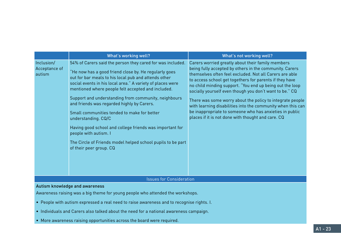|                                       | What's working well?                                                                                                                                                                                                                                                                                                                                                                                                                                                                                                                                                                                                                                       | What's not working well?                                                                                                                                                                                                                                                                                                                                                                                                                                                                                                                                                                               |
|---------------------------------------|------------------------------------------------------------------------------------------------------------------------------------------------------------------------------------------------------------------------------------------------------------------------------------------------------------------------------------------------------------------------------------------------------------------------------------------------------------------------------------------------------------------------------------------------------------------------------------------------------------------------------------------------------------|--------------------------------------------------------------------------------------------------------------------------------------------------------------------------------------------------------------------------------------------------------------------------------------------------------------------------------------------------------------------------------------------------------------------------------------------------------------------------------------------------------------------------------------------------------------------------------------------------------|
| Inclusion/<br>Acceptance of<br>autism | 54% of Carers said the person they cared for was included.<br>"He now has a good friend close by. He regularly goes<br>out for bar meals to his local pub and attends other<br>social events in his local area." A variety of places were<br>mentioned where people felt accepted and included.<br>Support and understanding from community, neighbours<br>and friends was regarded highly by Carers.<br>Small communities tended to make for better<br>understanding. CQ/C<br>Having good school and college friends was important for<br>people with autism. I<br>The Circle of Friends model helped school pupils to be part<br>of their peer group. CQ | Carers worried greatly about their family members<br>being fully accepted by others in the community. Carers<br>themselves often feel excluded. Not all Carers are able<br>to access school get togethers for parents if they have<br>no child minding support. "You end up being out the loop<br>socially yourself even though you don't want to be." CQ<br>There was some worry about the policy to integrate people<br>with learning disabilities into the community when this can<br>be inappropriate to someone who has anxieties in public<br>places if it is not done with thought and care. CQ |
|                                       | <b>Issues for Consideration</b>                                                                                                                                                                                                                                                                                                                                                                                                                                                                                                                                                                                                                            |                                                                                                                                                                                                                                                                                                                                                                                                                                                                                                                                                                                                        |
|                                       | Autism knowledge and awareness                                                                                                                                                                                                                                                                                                                                                                                                                                                                                                                                                                                                                             |                                                                                                                                                                                                                                                                                                                                                                                                                                                                                                                                                                                                        |

#### Autism knowledge and awareness

Awareness raising was a big theme for young people who attended the workshops.

- People with autism expressed a real need to raise awareness and to recognise rights. I.
- Individuals and Carers also talked about the need for a national awareness campaign.
- More awareness raising opportunities across the board were required.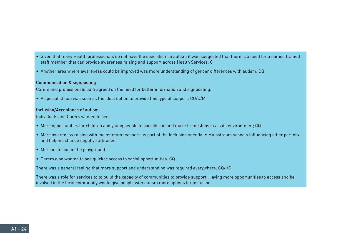- Given that many Health professionals do not have the specialism in autism it was suggested that there is a need for a named trained staff member that can provide awareness raising and support across Health Services. C
- Another area where awareness could be improved was more understanding of gender differences with autism. CQ

#### Communication & signposting

Carers and professionals both agreed on the need for better information and signposting.

• A specialist hub was seen as the ideal option to provide this type of support. CQ/C/M

#### Inclusion/Acceptance of autism

Individuals and Carers wanted to see:

- More opportunities for children and young people to socialise in and make friendships in a safe environment; CQ
- More awareness raising with mainstream teachers as part of the Inclusion agenda; Mainstream schools influencing other parents and helping change negative attitudes;
- More inclusion in the playground.
- Carers also wanted to see quicker access to social opportunities. CQ

There was a general feeling that more support and understanding was required everywhere. CQ/I/C

There was a role for services to to build the capacity of communities to provide support. Having more opportunities to access and be involved in the local community would give people with autism more options for inclusion.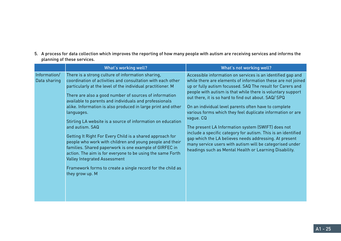5. A process for data collection which improves the reporting of how many people with autism are receiving services and informs the planning of these services.

|                              | What's working well?                                                                                                                                                                                                                                                                                                                                                                                                                                                                                                                                                                                                                                                                                                                                                                                                                         | What's not working well?                                                                                                                                                                                                                                                                                                                                                                                                                                                                                                                                                                                                                                                                                                                                    |
|------------------------------|----------------------------------------------------------------------------------------------------------------------------------------------------------------------------------------------------------------------------------------------------------------------------------------------------------------------------------------------------------------------------------------------------------------------------------------------------------------------------------------------------------------------------------------------------------------------------------------------------------------------------------------------------------------------------------------------------------------------------------------------------------------------------------------------------------------------------------------------|-------------------------------------------------------------------------------------------------------------------------------------------------------------------------------------------------------------------------------------------------------------------------------------------------------------------------------------------------------------------------------------------------------------------------------------------------------------------------------------------------------------------------------------------------------------------------------------------------------------------------------------------------------------------------------------------------------------------------------------------------------------|
| Information/<br>Data sharing | There is a strong culture of information sharing,<br>coordination of activities and consultation with each other<br>particularly at the level of the individual practitioner. M<br>There are also a good number of sources of information<br>available to parents and individuals and professionals<br>alike. Information is also produced in large print and other<br>languages.<br>Stirling LA website is a source of information on education<br>and autism. SAQ<br>Getting It Right For Every Child is a shared approach for<br>people who work with children and young people and their<br>families. Shared paperwork is one example of GIRFEC in<br>action. The aim is for everyone to be using the same Forth<br><b>Valley Integrated Assessment</b><br>Framework forms to create a single record for the child as<br>they grow up. M | Accessible information on services is an identified gap and<br>while there are elements of information these are not joined<br>up or fully autism focussed. SAQ The result for Carers and<br>people with autism is that while there is voluntary support<br>out there, it is so hard to find out about. SAQ/ SPQ<br>On an individual level parents often have to complete<br>various forms which they feel duplicate information or are<br>vague. CQ<br>The present LA Information system (SWIFT) does not<br>include a specific category for autism. This is an identified<br>gap which the LA believes needs addressing. At present<br>many service users with autism will be categorised under<br>headings such as Mental Health or Learning Disability. |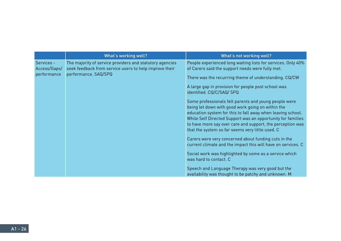|                            | What's working well?                                                                                               | What's not working well?                                                                                                                                                                                                                                                                                                                                   |
|----------------------------|--------------------------------------------------------------------------------------------------------------------|------------------------------------------------------------------------------------------------------------------------------------------------------------------------------------------------------------------------------------------------------------------------------------------------------------------------------------------------------------|
| Services -<br>Access/Gaps/ | The majority of service providers and statutory agencies<br>seek feedback from service users to help improve their | People experienced long waiting lists for services. Only 40%<br>of Carers said the support needs were fully met.                                                                                                                                                                                                                                           |
| performance                | performance. SAQ/SPQ                                                                                               | There was the recurring theme of understanding. CQ/CW                                                                                                                                                                                                                                                                                                      |
|                            |                                                                                                                    | A large gap in provision for people post school was<br>identified. CQ/C/SAQ/ SPQ                                                                                                                                                                                                                                                                           |
|                            |                                                                                                                    | Some professionals felt parents and young people were<br>being let down with good work going on within the<br>education system for this to fall away when leaving school.<br>While Self Directed Support was an opportunity for families<br>to have more say over care and support, the perception was<br>that the system so far seems very little used. C |
|                            |                                                                                                                    | Carers were very concerned about funding cuts in the<br>current climate and the impact this will have on services. C                                                                                                                                                                                                                                       |
|                            |                                                                                                                    | Social work was highlighted by some as a service which<br>was hard to contact. C                                                                                                                                                                                                                                                                           |
|                            |                                                                                                                    | Speech and Language Therapy was very good but the<br>availability was thought to be patchy and unknown. M                                                                                                                                                                                                                                                  |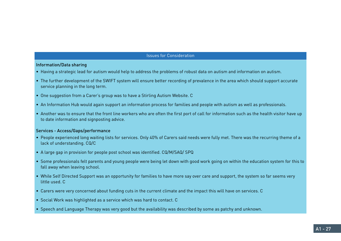#### Information/Data sharing

- Having a strategic lead for autism would help to address the problems of robust data on autism and information on autism.
- The further development of the SWIFT system will ensure better recording of prevalence in the area which should support accurate service planning in the long term.
- One suggestion from a Carer's group was to have a Stirling Autism Website. C
- An Information Hub would again support an information process for families and people with autism as well as professionals.
- Another was to ensure that the front line workers who are often the first port of call for information such as the health visitor have up to date information and signposting advice.

#### Services - Access/Gaps/performance

- People experienced long waiting lists for services. Only 40% of Carers said needs were fully met. There was the recurring theme of a lack of understanding. CQ/C
- A large gap in provision for people post school was identified. CQ/M/SAQ/ SPQ
- Some professionals felt parents and young people were being let down with good work going on within the education system for this to fall away when leaving school.
- While Self Directed Support was an opportunity for families to have more say over care and support, the system so far seems very little used. C
- Carers were very concerned about funding cuts in the current climate and the impact this will have on services. C
- Social Work was highlighted as a service which was hard to contact. C
- Speech and Language Therapy was very good but the availability was described by some as patchy and unknown.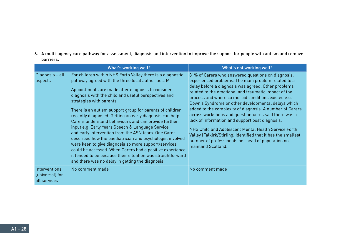6. A multi-agency care pathway for assessment, diagnosis and intervention to improve the support for people with autism and remove barriers.

|                                                  | What's working well?                                                                                                                                                                                                                                                                                                                                                                                                                                                                                                                                                                                                                                                                                                                                                                                                                                    | What's not working well?                                                                                                                                                                                                                                                                                                                                                                                                                                                                                                                                                                                                                                                                                          |
|--------------------------------------------------|---------------------------------------------------------------------------------------------------------------------------------------------------------------------------------------------------------------------------------------------------------------------------------------------------------------------------------------------------------------------------------------------------------------------------------------------------------------------------------------------------------------------------------------------------------------------------------------------------------------------------------------------------------------------------------------------------------------------------------------------------------------------------------------------------------------------------------------------------------|-------------------------------------------------------------------------------------------------------------------------------------------------------------------------------------------------------------------------------------------------------------------------------------------------------------------------------------------------------------------------------------------------------------------------------------------------------------------------------------------------------------------------------------------------------------------------------------------------------------------------------------------------------------------------------------------------------------------|
| Diagnosis - all<br>aspects                       | For children within NHS Forth Valley there is a diagnostic<br>pathway agreed with the three local authorities. M<br>Appointments are made after diagnosis to consider<br>diagnosis with the child and useful perspectives and<br>strategies with parents.<br>There is an autism support group for parents of children<br>recently diagnosed. Getting an early diagnosis can help<br>Carers understand behaviours and can provide further<br>input e.g. Early Years Speech & Language Service<br>and early intervention from the ASN team. One Carer<br>described how the paediatrician and psychologist involved<br>were keen to give diagnosis so more support/services<br>could be accessed. When Carers had a positive experience<br>it tended to be because their situation was straightforward<br>and there was no delay in getting the diagnosis. | 81% of Carers who answered questions on diagnosis,<br>experienced problems. The main problem related to a<br>delay before a diagnosis was agreed. Other problems<br>related to the emotional and traumatic impact of the<br>process and where co morbid conditions existed e.g.<br>Down's Syndrome or other developmental delays which<br>added to the complexity of diagnosis. A number of Carers<br>across workshops and questionnaires said there was a<br>lack of information and support post diagnosis.<br>NHS Child and Adolescent Mental Health Service Forth<br>Valley (Falkirk/Stirling) identified that it has the smallest<br>number of professionals per head of population on<br>mainland Scotland. |
| Interventions<br>(universal) for<br>all services | No comment made                                                                                                                                                                                                                                                                                                                                                                                                                                                                                                                                                                                                                                                                                                                                                                                                                                         | No comment made                                                                                                                                                                                                                                                                                                                                                                                                                                                                                                                                                                                                                                                                                                   |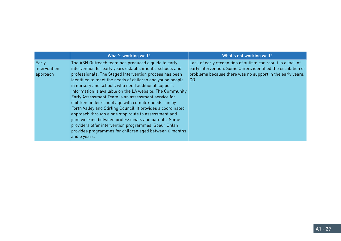|                                   | What's working well?                                                                                                                                                                                                                                                                                                                                                                                                                                                                                                                                                                                                                                                                                                                                                                       | What's not working well?                                                                                                                                                                        |
|-----------------------------------|--------------------------------------------------------------------------------------------------------------------------------------------------------------------------------------------------------------------------------------------------------------------------------------------------------------------------------------------------------------------------------------------------------------------------------------------------------------------------------------------------------------------------------------------------------------------------------------------------------------------------------------------------------------------------------------------------------------------------------------------------------------------------------------------|-------------------------------------------------------------------------------------------------------------------------------------------------------------------------------------------------|
| Early<br>Intervention<br>approach | The ASN Outreach team has produced a guide to early<br>intervention for early years establishments, schools and<br>professionals. The Staged Intervention process has been<br>identified to meet the needs of children and young people<br>in nursery and schools who need additional support.<br>Information is available on the LA website. The Community<br>Early Assessment Team is an assessment service for<br>children under school age with complex needs run by<br>Forth Valley and Stirling Council. It provides a coordinated<br>approach through a one stop route to assessment and<br>joint working between professionals and parents. Some<br>providers offer intervention programmes. Speur Ghlan<br>provides programmes for children aged between 6 months<br>and 5 years. | Lack of early recognition of autism can result in a lack of<br>early intervention. Some Carers identified the escalation of<br>problems because there was no support in the early years.<br>CQ. |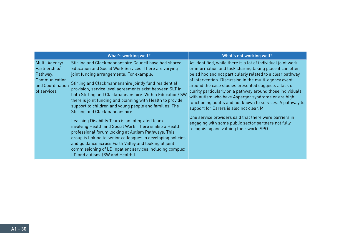|                                                                                               | What's working well?                                                                                                                                                                                                                                                                                                                                                                                                                                                                                                                                                                                                                                                                                                                                                                                                                                                                              | What's not working well?                                                                                                                                                                                                                                                                                                                                                                                                                                                                                                                                                                                                                                                                         |
|-----------------------------------------------------------------------------------------------|---------------------------------------------------------------------------------------------------------------------------------------------------------------------------------------------------------------------------------------------------------------------------------------------------------------------------------------------------------------------------------------------------------------------------------------------------------------------------------------------------------------------------------------------------------------------------------------------------------------------------------------------------------------------------------------------------------------------------------------------------------------------------------------------------------------------------------------------------------------------------------------------------|--------------------------------------------------------------------------------------------------------------------------------------------------------------------------------------------------------------------------------------------------------------------------------------------------------------------------------------------------------------------------------------------------------------------------------------------------------------------------------------------------------------------------------------------------------------------------------------------------------------------------------------------------------------------------------------------------|
| Multi-Agency/<br>Partnership/<br>Pathway,<br>Communication<br>and Coordination<br>of services | Stirling and Clackmannanshire Council have had shared<br>Education and Social Work Services. There are varying<br>joint funding arrangements: For example:<br>Stirling and Clackmannanshire jointly fund residential<br>provision, service level agreements exist between SLT in<br>both Stirling and Clackmannanshire. Within Education/ SW<br>there is joint funding and planning with Health to provide<br>support to children and young people and families. The<br>Stirling and Clackmannanshire<br>Learning Disability Team is an integrated team<br>involving Health and Social Work. There is also a Health<br>professional forum looking at Autism Pathways. This<br>group is linking to senior colleagues in developing policies<br>and quidance across Forth Valley and looking at joint<br>commissioning of LD inpatient services including complex<br>LD and autism. (SW and Health) | As identified, while there is a lot of individual joint work<br>or information and task sharing taking place it can often<br>be ad hoc and not particularly related to a clear pathway<br>of intervention. Discussion in the multi-agency event<br>around the case studies presented suggests a lack of<br>clarity particularly on a pathway around those individuals<br>with autism who have Asperger syndrome or are high<br>functioning adults and not known to services. A pathway to<br>support for Carers is also not clear. M<br>One service providers said that there were barriers in<br>engaging with some public sector partners not fully<br>recognising and valuing their work. SPQ |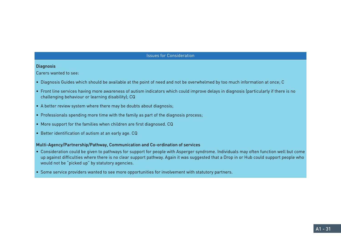#### **Diagnosis**

Carers wanted to see:

- Diagnosis Guides which should be available at the point of need and not be overwhelmed by too much information at once; C
- Front line services having more awareness of autism indicators which could improve delays in diagnosis (particularly if there is no challenging behaviour or learning disability); CQ
- A better review system where there may be doubts about diagnosis;
- Professionals spending more time with the family as part of the diagnosis process;
- More support for the families when children are first diagnosed. CQ
- Better identification of autism at an early age. CQ

### Multi-Agency/Partnership/Pathway, Communication and Co-ordination of services

- Consideration could be given to pathways for support for people with Asperger syndrome. Individuals may often function well but come up against difficulties where there is no clear support pathway. Again it was suggested that a Drop in or Hub could support people who would not be "picked up" by statutory agencies.
- Some service providers wanted to see more opportunities for involvement with statutory partners.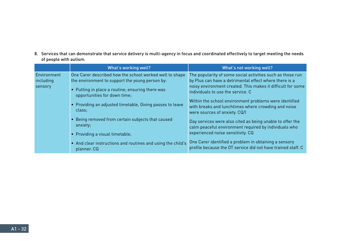8. Services that can demonstrate that service delivery is multi-agency in focus and coordinated effectively to target meeting the needs of people with autism.

|                                     | What's working well?                                                                                                                                                                           | What's not working well?                                                                                                                                                                                                 |
|-------------------------------------|------------------------------------------------------------------------------------------------------------------------------------------------------------------------------------------------|--------------------------------------------------------------------------------------------------------------------------------------------------------------------------------------------------------------------------|
| Environment<br>including<br>sensory | One Carer described how the school worked well to shape<br>the environment to support the young person by:<br>• Putting in place a routine; ensuring there was<br>opportunities for down time; | The popularity of some social activities such as those run<br>by Plus can have a detrimental effect where there is a<br>noisy environment created. This makes it difficult for some<br>individuals to use the service. C |
|                                     | • Providing an adjusted timetable, Giving passes to leave<br>class;                                                                                                                            | Within the school environment problems were identified<br>with breaks and lunchtimes where crowding and noise<br>were sources of anxiety. CQ/I                                                                           |
|                                     | Being removed from certain subjects that caused<br>anxiety;<br>• Providing a visual timetable;                                                                                                 | Day services were also cited as being unable to offer the<br>calm peaceful environment required by individuals who<br>experienced noise sensitivity. CQ                                                                  |
|                                     | • And clear instructions and routines and using the child's<br>planner. CQ                                                                                                                     | One Carer identified a problem in obtaining a sensory<br>profile because the OT service did not have trained staff. C                                                                                                    |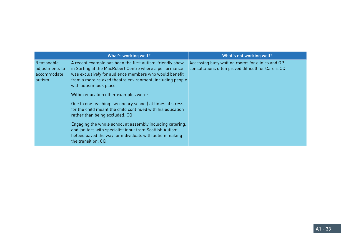|                                                       | What's working well?                                                                                                                                                                                                                                                                                                                                                                                                                                                                                                                                                                                                                                           | What's not working well?                                                                               |
|-------------------------------------------------------|----------------------------------------------------------------------------------------------------------------------------------------------------------------------------------------------------------------------------------------------------------------------------------------------------------------------------------------------------------------------------------------------------------------------------------------------------------------------------------------------------------------------------------------------------------------------------------------------------------------------------------------------------------------|--------------------------------------------------------------------------------------------------------|
| Reasonable<br>adjustments to<br>accommodate<br>autism | A recent example has been the first autism-friendly show<br>in Stirling at the MacRobert Centre where a performance<br>was exclusively for audience members who would benefit<br>from a more relaxed theatre environment, including people<br>with autism took place.<br>Within education other examples were:<br>One to one teaching (secondary school) at times of stress<br>for the child meant the child continued with his education<br>rather than being excluded; CQ<br>Engaging the whole school at assembly including catering,<br>and janitors with specialist input from Scottish Autism<br>helped paved the way for individuals with autism making | Accessing busy waiting rooms for clinics and GP<br>consultations often proved difficult for Carers CQ. |
|                                                       | the transition, CQ                                                                                                                                                                                                                                                                                                                                                                                                                                                                                                                                                                                                                                             |                                                                                                        |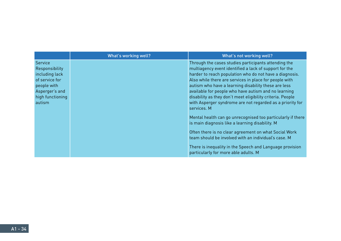|                                                                                                                              | What's working well? | <b>What's not working well?</b>                                                                                                                                                                                                                                                                                                                                                                                                                                                                                                                                                                                                                                                                                                                                                                                                      |
|------------------------------------------------------------------------------------------------------------------------------|----------------------|--------------------------------------------------------------------------------------------------------------------------------------------------------------------------------------------------------------------------------------------------------------------------------------------------------------------------------------------------------------------------------------------------------------------------------------------------------------------------------------------------------------------------------------------------------------------------------------------------------------------------------------------------------------------------------------------------------------------------------------------------------------------------------------------------------------------------------------|
| Service<br>Responsibility<br>including lack<br>of service for<br>people with<br>Asperger's and<br>high functioning<br>autism |                      | Through the cases studies participants attending the<br>multiagency event identified a lack of support for the<br>harder to reach population who do not have a diagnosis.<br>Also while there are services in place for people with<br>autism who have a learning disability these are less<br>available for people who have autism and no learning<br>disability as they don't meet eligibility criteria. People<br>with Asperger syndrome are not regarded as a priority for<br>services. M<br>Mental health can go unrecognised too particularly if there<br>is main diagnosis like a learning disability. M<br>Often there is no clear agreement on what Social Work<br>team should be involved with an individual's case. M<br>There is inequality in the Speech and Language provision<br>particularly for more able adults. M |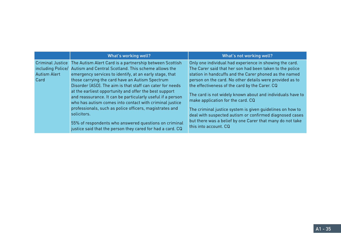|                                                        | What's working well?                                                                                                                                                                                                                                                                                                                                                                                                                                                                                                                                                                                                                                                                            | What's not working well?                                                                                                                                                                                                                                                                                                                                                                                                                                                                                                                                                                                     |
|--------------------------------------------------------|-------------------------------------------------------------------------------------------------------------------------------------------------------------------------------------------------------------------------------------------------------------------------------------------------------------------------------------------------------------------------------------------------------------------------------------------------------------------------------------------------------------------------------------------------------------------------------------------------------------------------------------------------------------------------------------------------|--------------------------------------------------------------------------------------------------------------------------------------------------------------------------------------------------------------------------------------------------------------------------------------------------------------------------------------------------------------------------------------------------------------------------------------------------------------------------------------------------------------------------------------------------------------------------------------------------------------|
| <b>Criminal Justice</b><br><b>Autism Alert</b><br>Card | The Autism Alert Card is a partnership between Scottish<br>including Police/ Autism and Central Scotland. This scheme allows the<br>emergency services to identify, at an early stage, that<br>those carrying the card have an Autism Spectrum<br>Disorder (ASD). The aim is that staff can cater for needs<br>at the earliest opportunity and offer the best support<br>and reassurance. It can be particularly useful if a person<br>who has autism comes into contact with criminal justice<br>professionals, such as police officers, magistrates and<br>solicitors.<br>55% of respondents who answered questions on criminal<br>justice said that the person they cared for had a card. CQ | Only one individual had experience in showing the card.<br>The Carer said that her son had been taken to the police<br>station in handcuffs and the Carer phoned as the named<br>person on the card. No other details were provided as to<br>the effectiveness of the card by the Carer. CQ<br>The card is not widely known about and individuals have to<br>make application for the card. CQ<br>The criminal justice system is given guidelines on how to<br>deal with suspected autism or confirmed diagnosed cases<br>but there was a belief by one Carer that many do not take<br>this into account. CQ |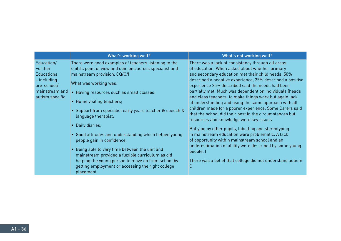|                                                                                                                 | What's working well?                                                                                                                                                                                                                                                                                                                                                                                                                                                                                 | What's not working well?                                                                                                                                                                                                                                                                                                                                                                                                                                                                                                                                                                                                                                                                                                                                                                                                                                         |
|-----------------------------------------------------------------------------------------------------------------|------------------------------------------------------------------------------------------------------------------------------------------------------------------------------------------------------------------------------------------------------------------------------------------------------------------------------------------------------------------------------------------------------------------------------------------------------------------------------------------------------|------------------------------------------------------------------------------------------------------------------------------------------------------------------------------------------------------------------------------------------------------------------------------------------------------------------------------------------------------------------------------------------------------------------------------------------------------------------------------------------------------------------------------------------------------------------------------------------------------------------------------------------------------------------------------------------------------------------------------------------------------------------------------------------------------------------------------------------------------------------|
| Education/<br>Further<br><b>Educations</b><br>$-$ including<br>pre-school/<br>mainstream and<br>autism specific | There were good examples of teachers listening to the<br>child's point of view and opinions across specialist and<br>mainstream provision. CQ/C/I<br>What was working was:<br>• Having resources such as small classes;<br>• Home visiting teachers;<br>• Support from specialist early years teacher & speech &<br>language therapist;<br>• Daily diaries;<br>• Good attitudes and understanding which helped young<br>people gain in confidence;<br>• Being able to vary time between the unit and | There was a lack of consistency through all areas<br>of education. When asked about whether primary<br>and secondary education met their child needs, 50%<br>described a negative experience, 25% described a positive<br>experience 25% described said the needs had been<br>partially met. Much was dependent on individuals (heads<br>and class teachers) to make things work but again lack<br>of understanding and using the same approach with all<br>children made for a poorer experience. Some Carers said<br>that the school did their best in the circumstances but<br>resources and knowledge were key issues.<br>Bullying by other pupils, labelling and stereotyping<br>in mainstream education were problematic. A lack<br>of opportunity within mainstream school and an<br>underestimation of ability were described by some young<br>people. I |
|                                                                                                                 | mainstream provided a flexible curriculum as did<br>helping the young person to move on from school by<br>getting employment or accessing the right college<br>placement.                                                                                                                                                                                                                                                                                                                            | There was a belief that college did not understand autism.<br>C                                                                                                                                                                                                                                                                                                                                                                                                                                                                                                                                                                                                                                                                                                                                                                                                  |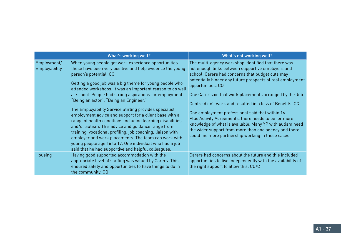|                              | What's working well?                                                                                                                                                                                                                                                                                                                                                                                                                                                                                                                                                                                                                                                                                                                                                                                                                                     | What's not working well?                                                                                                                                                                                                                                                                                                                                                                                                                                                                                                                                                                                                                                     |
|------------------------------|----------------------------------------------------------------------------------------------------------------------------------------------------------------------------------------------------------------------------------------------------------------------------------------------------------------------------------------------------------------------------------------------------------------------------------------------------------------------------------------------------------------------------------------------------------------------------------------------------------------------------------------------------------------------------------------------------------------------------------------------------------------------------------------------------------------------------------------------------------|--------------------------------------------------------------------------------------------------------------------------------------------------------------------------------------------------------------------------------------------------------------------------------------------------------------------------------------------------------------------------------------------------------------------------------------------------------------------------------------------------------------------------------------------------------------------------------------------------------------------------------------------------------------|
| Employment/<br>Employability | When young people get work experience opportunities<br>these have been very positive and help evidence the young<br>person's potential. CQ<br>Getting a good job was a big theme for young people who<br>attended workshops. It was an important reason to do well<br>at school. People had strong aspirations for employment.<br>"Being an actor", "Being an Engineer."<br>The Employability Service Stirling provides specialist<br>employment advice and support for a client base with a<br>range of health conditions including learning disabilities<br>and/or autism. This advice and quidance range from<br>training, vocational profiling, job coaching, liaison with<br>employer and work placements. The team can work with<br>young people age 16 to 17. One individual who had a job<br>said that he had supportive and helpful colleagues. | The multi-agency workshop identified that there was<br>not enough links between supportive employers and<br>school. Carers had concerns that budget cuts may<br>potentially hinder any future prospects of real employment<br>opportunities. CQ<br>One Carer said that work placements arranged by the Job<br>Centre didn't work and resulted in a loss of Benefits, CQ<br>One employment professional said that within 16<br>Plus Activity Agreements, there needs to be for more<br>knowledge of what is available. Many YP with autism need<br>the wider support from more than one agency and there<br>could me more partnership working in these cases. |
| Housing                      | Having good supported accommodation with the<br>appropriate level of staffing was valued by Carers. This<br>ensured safety and opportunities to have things to do in<br>the community. CQ                                                                                                                                                                                                                                                                                                                                                                                                                                                                                                                                                                                                                                                                | Carers had concerns about the future and this included<br>opportunities to live independently with the availability of<br>the right support to allow this. CQ/C                                                                                                                                                                                                                                                                                                                                                                                                                                                                                              |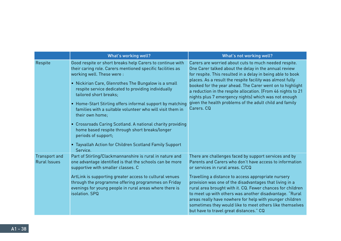|                                             | What's working well?                                                                                                                                                                                                                                                                                                                                                                                                                                                                                                                                                                                                                                      | What's not working well?                                                                                                                                                                                                                                                                                                                                                                                                                                                                                                                                           |
|---------------------------------------------|-----------------------------------------------------------------------------------------------------------------------------------------------------------------------------------------------------------------------------------------------------------------------------------------------------------------------------------------------------------------------------------------------------------------------------------------------------------------------------------------------------------------------------------------------------------------------------------------------------------------------------------------------------------|--------------------------------------------------------------------------------------------------------------------------------------------------------------------------------------------------------------------------------------------------------------------------------------------------------------------------------------------------------------------------------------------------------------------------------------------------------------------------------------------------------------------------------------------------------------------|
| Respite                                     | Good respite or short breaks help Carers to continue with<br>their caring role. Carers mentioned specific facilities as<br>working well. These were :<br>• Nickirian Care, Glenrothes The Bungalow is a small<br>respite service dedicated to providing individually<br>tailored short breaks;<br>• Home-Start Stirling offers informal support by matching<br>families with a suitable volunteer who will visit them in<br>their own home;<br>• Crossroads Caring Scotland. A national charity providing<br>home based respite through short breaks/longer<br>periods of support;<br>• Tayvallah Action for Children Scotland Family Support<br>Service. | Carers are worried about cuts to much needed respite.<br>One Carer talked about the delay in the annual review<br>for respite. This resulted in a delay in being able to book<br>places. As a result the respite facility was almost fully<br>booked for the year ahead. The Carer went on to highlight<br>a reduction in the respite allocation. (From 46 nights to 21<br>nights plus 7 emergency nights) which was not enough<br>given the health problems of the adult child and family<br>Carers, CQ                                                           |
| <b>Transport and</b><br><b>Rural Issues</b> | Part of Stirling/Clackmannanshire is rural in nature and<br>one advantage identified is that the schools can be more<br>supportive with smaller classes. C<br>ArtLink is supporting greater access to cultural venues<br>through the programme offering programmes on Friday<br>evenings for young people in rural areas where there is<br>isolation. SPQ                                                                                                                                                                                                                                                                                                 | There are challenges faced by support services and by<br>Parents and Carers who don't have access to information<br>or services in rural areas. C/CQ<br>Travelling a distance to access appropriate nursery<br>provision was one of the disadvantages that living in a<br>rural area brought with it. CQ. Fewer chances for children<br>to meet up with others was another disadvantage. "Rural<br>areas really have nowhere for help with younger children<br>sometimes they would like to meet others like themselves<br>but have to travel great distances." CQ |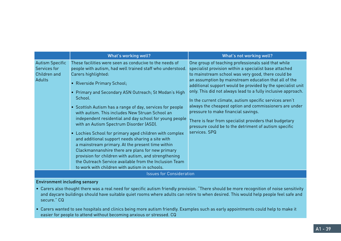|                                                                         | What's working well?                                                                                                                                                                                                                                                                                                                                                                                                                                                                                                                                                                                                                                                                                                                                                                                                                                                | What's not working well?                                                                                                                                                                                                                                                                                                                                                                                                                                                                                                                                                                                                                                     |
|-------------------------------------------------------------------------|---------------------------------------------------------------------------------------------------------------------------------------------------------------------------------------------------------------------------------------------------------------------------------------------------------------------------------------------------------------------------------------------------------------------------------------------------------------------------------------------------------------------------------------------------------------------------------------------------------------------------------------------------------------------------------------------------------------------------------------------------------------------------------------------------------------------------------------------------------------------|--------------------------------------------------------------------------------------------------------------------------------------------------------------------------------------------------------------------------------------------------------------------------------------------------------------------------------------------------------------------------------------------------------------------------------------------------------------------------------------------------------------------------------------------------------------------------------------------------------------------------------------------------------------|
| <b>Autism Specific</b><br>Services for<br>Children and<br><b>Adults</b> | These facilities were seen as conducive to the needs of<br>people with autism, had well trained staff who understood.<br>Carers highlighted:<br><b>Riverside Primary School;</b><br>• Primary and Secondary ASN Outreach; St Modan's High<br>School.<br>• Scottish Autism has a range of day, services for people<br>with autism. This includes New Struan School an<br>independent residential and day school for young people<br>with an Autism Spectrum Disorder (ASD).<br>Lochies School for primary aged children with complex<br>and additional support needs sharing a site with<br>a mainstream primary. At the present time within<br>Clackmannanshire there are plans for new primary<br>provision for children with autism, and strengthening<br>the Outreach Service available from the Inclusion Team<br>to work with children with autism in schools. | One group of teaching professionals said that while<br>specialist provision within a specialist base attached<br>to mainstream school was very good, there could be<br>an assumption by mainstream education that all of the<br>additional support would be provided by the specialist unit<br>only. This did not always lead to a fully inclusive approach.<br>In the current climate, autism specific services aren't<br>always the cheapest option and commissioners are under<br>pressure to make financial savings.<br>There is fear from specialist providers that budgetary<br>pressure could be to the detriment of autism specific<br>services, SPQ |
|                                                                         | <b>Issues for Consideration</b>                                                                                                                                                                                                                                                                                                                                                                                                                                                                                                                                                                                                                                                                                                                                                                                                                                     |                                                                                                                                                                                                                                                                                                                                                                                                                                                                                                                                                                                                                                                              |

# Environment including sensory

- Carers also thought there was a real need for specific autism friendly provision. "There should be more recognition of noise sensitivity and daycare buildings should have suitable quiet rooms where adults can retire to when desired. This would help people feel safe and secure." CQ
- Carers wanted to see hospitals and clinics being more autism friendly. Examples such as early appointments could help to make it easier for people to attend without becoming anxious or stressed. CQ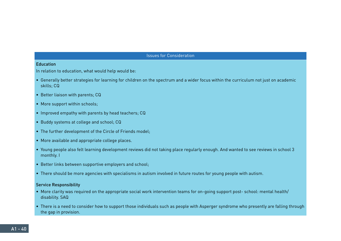#### Education

In relation to education, what would help would be:

- Generally better strategies for learning for children on the spectrum and a wider focus within the curriculum not just on academic skills; CQ
- Better liaison with parents; CQ
- More support within schools;
- Improved empathy with parents by head teachers; CQ
- Buddy systems at college and school; CQ
- The further development of the Circle of Friends model;
- More available and appropriate college places.
- Young people also felt learning development reviews did not taking place regularly enough. And wanted to see reviews in school 3 monthly. I
- Better links between supportive employers and school;
- There should be more agencies with specialisms in autism involved in future routes for young people with autism.

#### Service Responsibility

- More clarity was required on the appropriate social work intervention teams for on-going support post- school: mental health/ disability. SAQ
- There is a need to consider how to support those individuals such as people with Asperger syndrome who presently are falling through the gap in provision.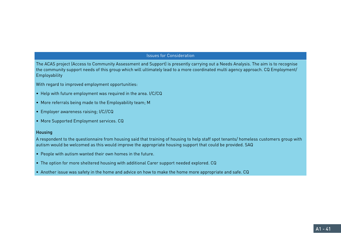The ACAS project (Access to Community Assessment and Support) is presently carrying out a Needs Analysis. The aim is to recognise the community support needs of this group which will ultimately lead to a more coordinated multi agency approach. CQ Employment/ Employability

With regard to improved employment opportunities:

- Help with future employment was required in the area. I/C/CQ
- More referrals being made to the Employability team; M
- Employer awareness raising; I/C//CQ
- More Supported Employment services. CQ

#### Housing

A respondent to the questionnaire from housing said that training of housing to help staff spot tenants/ homeless customers group with autism would be welcomed as this would improve the appropriate housing support that could be provided. SAQ

- People with autism wanted their own homes in the future.
- The option for more sheltered housing with additional Carer support needed explored. CQ
- Another issue was safety in the home and advice on how to make the home more appropriate and safe. CQ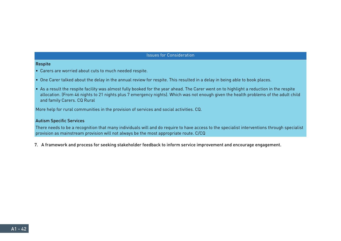#### Respite

- Carers are worried about cuts to much needed respite.
- One Carer talked about the delay in the annual review for respite. This resulted in a delay in being able to book places.
- As a result the respite facility was almost fully booked for the year ahead. The Carer went on to highlight a reduction in the respite allocation. (From 46 nights to 21 nights plus 7 emergency nights). Which was not enough given the health problems of the adult child and family Carers. CQ Rural

More help for rural communities in the provision of services and social activities. CQ.

#### Autism Specific Services

There needs to be a recognition that many individuals will and do require to have access to the specialist interventions through specialist provision as mainstream provision will not always be the most appropriate route. C/CQ

7. A framework and process for seeking stakeholder feedback to inform service improvement and encourage engagement.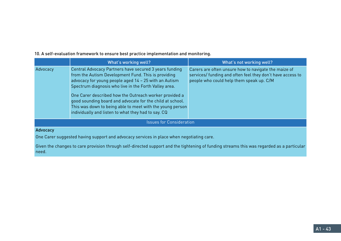|          | What's working well?                                                                                                                                                                                                                                                                                                                                                                                                                                                       | What's not working well?                                                                                                                                       |
|----------|----------------------------------------------------------------------------------------------------------------------------------------------------------------------------------------------------------------------------------------------------------------------------------------------------------------------------------------------------------------------------------------------------------------------------------------------------------------------------|----------------------------------------------------------------------------------------------------------------------------------------------------------------|
| Advocacy | Central Advocacy Partners have secured 3 years funding<br>from the Autism Development Fund. This is providing<br>advocacy for young people aged 14 - 25 with an Autism<br>Spectrum diagnosis who live in the Forth Valley area.<br>One Carer described how the Outreach worker provided a<br>good sounding board and advocate for the child at school.<br>This was down to being able to meet with the young person<br>individually and listen to what they had to say. CQ | Carers are often unsure how to navigate the maize of<br>services/ funding and often feel they don't have access to<br>people who could help them speak up. C/M |
|          | <b>Issues for Consideration</b>                                                                                                                                                                                                                                                                                                                                                                                                                                            |                                                                                                                                                                |
| Advocacy |                                                                                                                                                                                                                                                                                                                                                                                                                                                                            |                                                                                                                                                                |
|          | One Carer suggested having support and advocacy services in place when negotiating care.                                                                                                                                                                                                                                                                                                                                                                                   |                                                                                                                                                                |

10. A self-evaluation framework to ensure best practice implementation and monitoring.

Given the changes to care provision through self-directed support and the tightening of funding streams this was regarded as a particular need.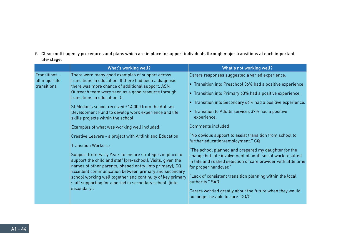9. Clear multi-agency procedures and plans which are in place to support individuals through major transitions at each important life-stage.

|                                                | What's working well?                                                                                                                                                                                                                                                                                                                                                                                                                                                                                                                                                                                                                                                                                                                                                                                                                                                                                                                     | What's not working well?                                                                                                                                                                                                                                                                                                                                                                                                                                                                                                                                                                                                                                                                                                                                                                                                     |
|------------------------------------------------|------------------------------------------------------------------------------------------------------------------------------------------------------------------------------------------------------------------------------------------------------------------------------------------------------------------------------------------------------------------------------------------------------------------------------------------------------------------------------------------------------------------------------------------------------------------------------------------------------------------------------------------------------------------------------------------------------------------------------------------------------------------------------------------------------------------------------------------------------------------------------------------------------------------------------------------|------------------------------------------------------------------------------------------------------------------------------------------------------------------------------------------------------------------------------------------------------------------------------------------------------------------------------------------------------------------------------------------------------------------------------------------------------------------------------------------------------------------------------------------------------------------------------------------------------------------------------------------------------------------------------------------------------------------------------------------------------------------------------------------------------------------------------|
| Transitions -<br>all major life<br>transitions | There were many good examples of support across<br>transitions in education. If there had been a diagnosis<br>there was more chance of additional support. ASN<br>Outreach team were seen as a good resource through<br>transitions in education. C<br>St Modan's school received £14,000 from the Autism<br>Development Fund to develop work experience and life<br>skills projects within the school.<br>Examples of what was working well included:<br>Creative Leavers - a project with Artlink and Education<br><b>Transition Workers:</b><br>Support from Early Years to ensure strategies in place to<br>support the child and staff (pre-school); Visits, given the<br>names of other parents, phased entry (into primary); CQ<br>Excellent communication between primary and secondary<br>school working well together and continuity of key primary<br>staff supporting for a period in secondary school; (into<br>secondary). | Carers responses suggested a varied experience:<br>• Transition into Preschool 36% had a positive experience;<br>• Transition into Primary 63% had a positive experience;<br>• Transition into Secondary 66% had a positive experience.<br>• Transition to Adults services 37% had a positive<br>experience.<br>Comments included<br>No obvious support to assist transition from school to<br>further education/employment." CQ<br>"The school planned and prepared my daughter for the<br>change but late involvement of adult social work resulted<br>in late and rushed selection of care provider with little time<br>for proper handover."<br>Lack of consistent transition planning within the local<br>authority." SAQ<br>Carers worried greatly about the future when they would<br>no longer be able to care. CQ/C |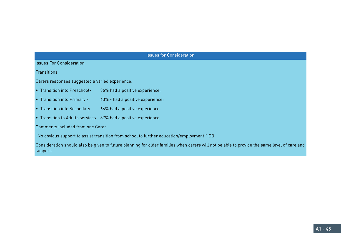| <b>Issues for Consideration</b>                 |                                                                                                                                             |  |
|-------------------------------------------------|---------------------------------------------------------------------------------------------------------------------------------------------|--|
| <b>Issues For Consideration</b>                 |                                                                                                                                             |  |
| Transitions                                     |                                                                                                                                             |  |
| Carers responses suggested a varied experience: |                                                                                                                                             |  |
| • Transition into Preschool-                    | 36% had a positive experience;                                                                                                              |  |
| • Transition into Primary -                     | 63% - had a positive experience;                                                                                                            |  |
| • Transition into Secondary                     | 66% had a positive experience.                                                                                                              |  |
|                                                 | • Transition to Adults services 37% had a positive experience.                                                                              |  |
| Comments included from one Carer:               |                                                                                                                                             |  |
|                                                 | "No obvious support to assist transition from school to further education/employment." CQ                                                   |  |
|                                                 | Consideration should also be given to future planning for older families when carers will not be able to provide the same level of care and |  |

support.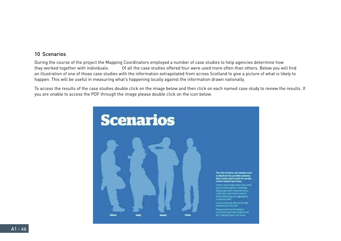# 10 Scenarios

During the course of the project the Mapping Coordinators employed a number of case studies to help agencies determine how they worked together with individuals. Of all the case studies offered four were used more often than others. Below you will find an illustration of one of those case studies with the information extrapolated from across Scotland to give a picture of what is likely to happen. This will be useful in measuring what's happening locally against the information drawn nationally.

To access the results of the case studies double click on the image below and then click on each named case study to review the results. If you are unable to access the PDF through the image please double click on the icon below.

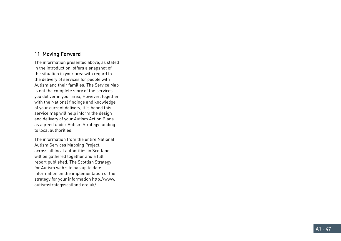# 11 Moving Forward

The information presented above, as stated in the introduction, offers a snapshot of the situation in your area with regard to the delivery of services for people with Autism and their families. The Service Map is not the complete story of the services you deliver in your area, However, together with the National findings and knowledge of your current delivery, it is hoped this service map will help inform the design and delivery of your Autism Action Plans as agreed under Autism Strategy funding to local authorities.

The information from the entire National Autism Services Mapping Project, across all local authorities in Scotland, will be gathered together and a full report published. The Scottish Strategy for Autism web site has up to date information on the implementation of the strategy for your information http://www. autismstrategyscotland.org.uk/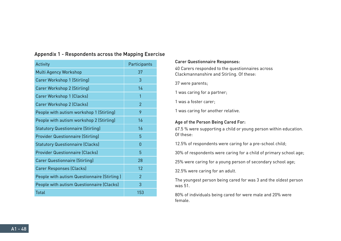| Activity                                    | Participants   |
|---------------------------------------------|----------------|
| Multi Agency Workshop                       | 37             |
| Carer Workshop 1 (Stirling)                 | 3              |
| Carer Workshop 2 (Stirling)                 | 14             |
| Carer Workshop 1 (Clacks)                   | 1              |
| Carer Workshop 2 (Clacks)                   | $\overline{2}$ |
| People with autism workshop 1 (Stirling)    | 9              |
| People with autism workshop 2 (Stirling)    | 16             |
| <b>Statutory Questionnaire (Stirling)</b>   | 16             |
| <b>Provider Questionnaire (Stirling)</b>    | 5              |
| <b>Statutory Questionnaire (Clacks)</b>     | $\theta$       |
| <b>Provider Questionnaire (Clacks)</b>      | 5              |
| <b>Carer Questionnaire (Stirling)</b>       | 28             |
| <b>Carer Responses (Clacks)</b>             | 12             |
| People with autism Questionnaire (Stirling) | $\overline{2}$ |
| People with autism Questionnaire (Clacks)   | 3              |
| <b>Total</b>                                | 153            |

# Appendix 1 - Respondents across the Mapping Exercise

#### Carer Questionnaire Responses:

40 Carers responded to the questionnaires across Clackmannanshire and Stirling. Of these:

37 were parents;

1 was caring for a partner;

1 was a foster carer;

1 was caring for another relative.

# Age of the Person Being Cared For:

67.5 % were supporting a child or young person within education. Of these:

12.5% of respondents were caring for a pre-school child;

30% of respondents were caring for a child of primary school age;

25% were caring for a young person of secondary school age;

32.5% were caring for an adult.

The youngest person being cared for was 3 and the oldest person was 51.

80% of individuals being cared for were male and 20% were female.